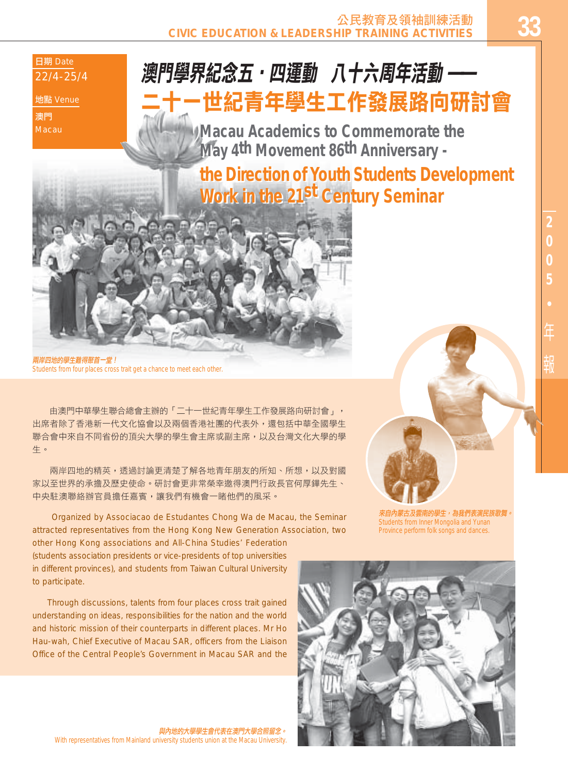

地點 Venue

澳門 Macau

## 澳門學界紀念五・四運動 八十六周年活動 <del>——</del> 二十一世紀青年學生工作發展路向研討曾

**Macau Academics to Commemorate the May 4th Movement 86th Anniversary - Macau Academics to Commemorate the May 4th Movement 86th Anniversary -**

#### **the Direction of Youth Students Development the Direction of Youth Students Development Work in the 21st Century Seminar Work in the 21st Century Seminar**



*兩岸四地的學生難得聚首一堂! Students from four places cross trait get a chance to meet each other.*

- !"#\$%&'()\*+,- !"#\$%&'()\*+,-./01 出席者除了香港新一代文化協會以及兩個香港社團的代表外,還包括中華全國學生 聯合會中來自不同省份的頂尖大學的學生會主席或副主席,以及台灣文化大學的學 生。

---- 兩岸四地的精英,透過討論更清楚了解各地青年朋友的所知、所想,以及對國 家以至世界的承擔及歷史使命。研討會更非常榮幸邀得澳門行政長官何厚鏵先生、 中央駐澳聯絡辦官員擔任嘉賓,讓我們有機會一睹他們的風采。

Organized by Associacao de Estudantes Chong Wa de Macau, the Seminar attracted representatives from the Hong Kong New Generation Association, two

other Hong Kong associations and All-China Studies' Federation (students association presidents or vice-presidents of top universities in different provinces), and students from Taiwan Cultural University to participate.

 Through discussions, talents from four places cross trait gained understanding on ideas, responsibilities for the nation and the world and historic mission of their counterparts in different places. Mr Ho Hau-wah, Chief Executive of Macau SAR, officers from the Liaison Office of the Central People's Government in Macau SAR and the

與內地的大學學生會代表在澳門大學合照留念。 *With representatives from Mainland university students union at the Macau University.*



來自內蒙古及雲南的學生,為我們表演民族歌舞。 *Students from Inner Mongolia and Yunan Province perform folk songs and dances.*



年

**0**

**0 5**

報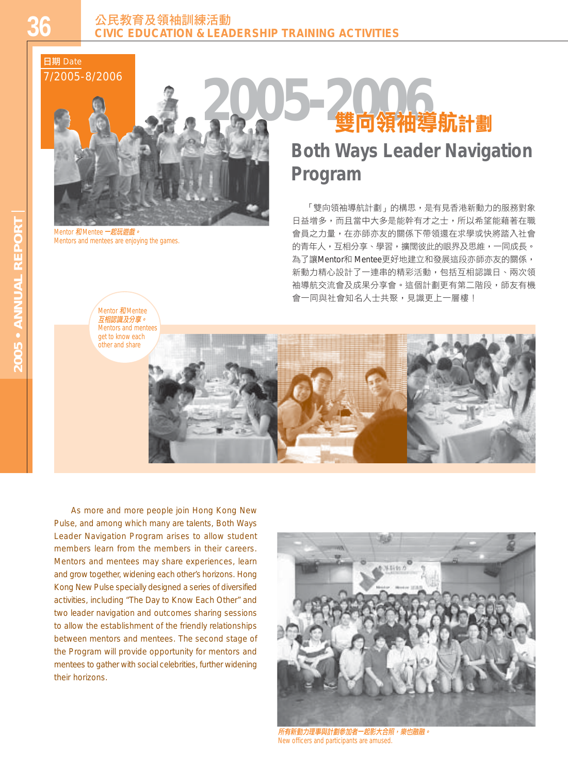#### 日期 Date 7/2005-8/2006



Mentor 和 Mentee **一起玩遊戲**。 *Mentors and mentees are enjoying the games.*

### **Both Ways Leader Navigation Program**

「雙向領袖導航計劃」的構思,是有見香港新動力的服務對象 日益增多,而且當中大多是能幹有才之士,所以希望能藉著在職 會員之力量,在亦師亦友的關係下帶領還在求學或快將踏入社會 的青年人,互相分享、學習,擴闊彼此的眼界及思維,一同成長。 為了讓Mentor和 Mentee更好地建立和發展這段亦師亦友的關係, 新動力精心設計了一連串的精彩活動,包括互相認識日、兩次領 袖導航交流會及成果分享會。這個計劃更有第二階段,師友有機 會一同與社會知名人士共聚,見識更上一層樓!





As more and more people join Hong Kong New Pulse, and among which many are talents, Both Ways Leader Navigation Program arises to allow student members learn from the members in their careers. Mentors and mentees may share experiences, learn and grow together, widening each other's horizons. Hong Kong New Pulse specially designed a series of diversified activities, including "The Day to Know Each Other" and two leader navigation and outcomes sharing sessions to allow the establishment of the friendly relationships between mentors and mentees. The second stage of the Program will provide opportunity for mentors and mentees to gather with social celebrities, further widening their horizons.



所有新動力理事與計劃參加者一起影大合照,樂也融融。 *New officers and participants are amused.*